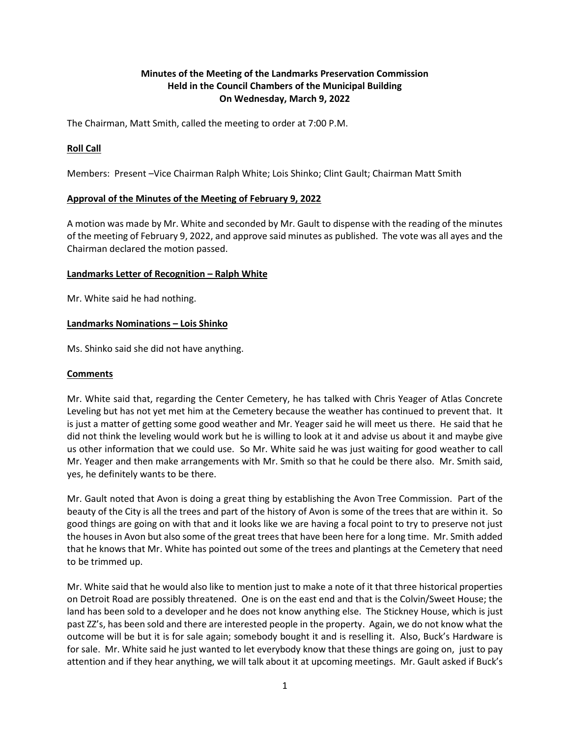# **Minutes of the Meeting of the Landmarks Preservation Commission Held in the Council Chambers of the Municipal Building On Wednesday, March 9, 2022**

The Chairman, Matt Smith, called the meeting to order at 7:00 P.M.

## **Roll Call**

Members: Present –Vice Chairman Ralph White; Lois Shinko; Clint Gault; Chairman Matt Smith

#### **Approval of the Minutes of the Meeting of February 9, 2022**

A motion was made by Mr. White and seconded by Mr. Gault to dispense with the reading of the minutes of the meeting of February 9, 2022, and approve said minutes as published. The vote was all ayes and the Chairman declared the motion passed.

#### **Landmarks Letter of Recognition – Ralph White**

Mr. White said he had nothing.

#### **Landmarks Nominations – Lois Shinko**

Ms. Shinko said she did not have anything.

### **Comments**

Mr. White said that, regarding the Center Cemetery, he has talked with Chris Yeager of Atlas Concrete Leveling but has not yet met him at the Cemetery because the weather has continued to prevent that. It is just a matter of getting some good weather and Mr. Yeager said he will meet us there. He said that he did not think the leveling would work but he is willing to look at it and advise us about it and maybe give us other information that we could use. So Mr. White said he was just waiting for good weather to call Mr. Yeager and then make arrangements with Mr. Smith so that he could be there also. Mr. Smith said, yes, he definitely wants to be there.

Mr. Gault noted that Avon is doing a great thing by establishing the Avon Tree Commission. Part of the beauty of the City is all the trees and part of the history of Avon is some of the trees that are within it. So good things are going on with that and it looks like we are having a focal point to try to preserve not just the houses in Avon but also some of the great trees that have been here for a long time. Mr. Smith added that he knows that Mr. White has pointed out some of the trees and plantings at the Cemetery that need to be trimmed up.

Mr. White said that he would also like to mention just to make a note of it that three historical properties on Detroit Road are possibly threatened. One is on the east end and that is the Colvin/Sweet House; the land has been sold to a developer and he does not know anything else. The Stickney House, which is just past ZZ's, has been sold and there are interested people in the property. Again, we do not know what the outcome will be but it is for sale again; somebody bought it and is reselling it. Also, Buck's Hardware is for sale. Mr. White said he just wanted to let everybody know that these things are going on, just to pay attention and if they hear anything, we will talk about it at upcoming meetings. Mr. Gault asked if Buck's